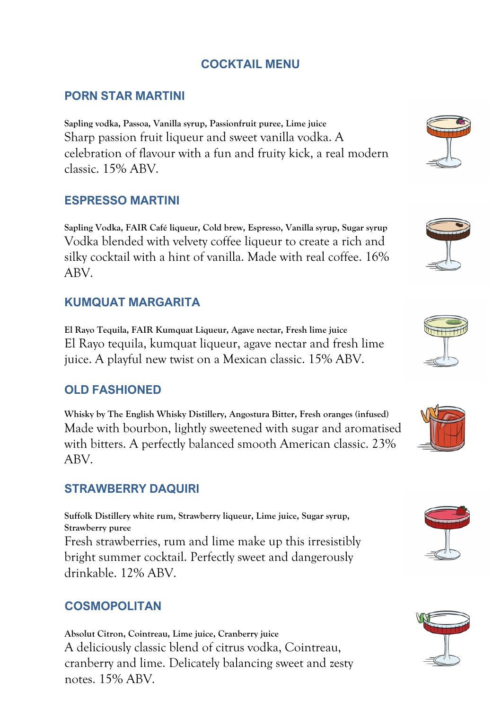# **COCKTAIL MENU**

## **PORN STAR MARTINI**

**Sapling vodka, Passoa, Vanilla syrup, Passionfruit puree, Lime juice** Sharp passion fruit liqueur and sweet vanilla vodka. A celebration of flavour with a fun and fruity kick, a real modern classic. 15% ABV.

#### **ESPRESSO MARTINI**

**Sapling Vodka, FAIR Café liqueur, Cold brew, Espresso, Vanilla syrup, Sugar syrup** Vodka blended with velvety coffee liqueur to create a rich and silky cocktail with a hint of vanilla. Made with real coffee. 16% ABV.

### **KUMQUAT MARGARITA**

**El Rayo Tequila, FAIR Kumquat Liqueur, Agave nectar, Fresh lime juice** El Rayo tequila, kumquat liqueur, agave nectar and fresh lime juice. A playful new twist on a Mexican classic. 15% ABV.

## **OLD FASHIONED**

**Whisky by The English Whisky Distillery, Angostura Bitter, Fresh oranges (infused)** Made with bourbon, lightly sweetened with sugar and aromatised with bitters. A perfectly balanced smooth American classic. 23% ABV.

#### **STRAWBERRY DAQUIRI**

**Suffolk Distillery white rum, Strawberry liqueur, Lime juice, Sugar syrup, Strawberry puree** Fresh strawberries, rum and lime make up this irresistibly bright summer cocktail. Perfectly sweet and dangerously drinkable. 12% ABV.

#### **COSMOPOLITAN**

**Absolut Citron, Cointreau, Lime juice, Cranberry juice** A deliciously classic blend of citrus vodka, Cointreau, cranberry and lime. Delicately balancing sweet and zesty notes. 15% ABV.